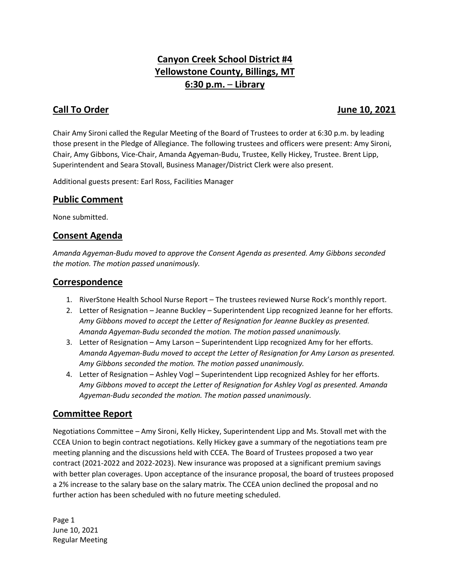# **Canyon Creek School District #4 Yellowstone County, Billings, MT 6:30 p.m.** – **Library**

### **Call To Order June 10, 2021**

Chair Amy Sironi called the Regular Meeting of the Board of Trustees to order at 6:30 p.m. by leading those present in the Pledge of Allegiance. The following trustees and officers were present: Amy Sironi, Chair, Amy Gibbons, Vice-Chair, Amanda Agyeman-Budu, Trustee, Kelly Hickey, Trustee. Brent Lipp, Superintendent and Seara Stovall, Business Manager/District Clerk were also present.

Additional guests present: Earl Ross, Facilities Manager

#### **Public Comment**

None submitted.

#### **Consent Agenda**

*Amanda Agyeman-Budu moved to approve the Consent Agenda as presented. Amy Gibbons seconded the motion. The motion passed unanimously.* 

#### **Correspondence**

- 1. RiverStone Health School Nurse Report The trustees reviewed Nurse Rock's monthly report.
- 2. Letter of Resignation Jeanne Buckley Superintendent Lipp recognized Jeanne for her efforts. *Amy Gibbons moved to accept the Letter of Resignation for Jeanne Buckley as presented. Amanda Agyeman-Budu seconded the motion. The motion passed unanimously.*
- 3. Letter of Resignation Amy Larson Superintendent Lipp recognized Amy for her efforts. *Amanda Agyeman-Budu moved to accept the Letter of Resignation for Amy Larson as presented. Amy Gibbons seconded the motion. The motion passed unanimously.*
- 4. Letter of Resignation Ashley Vogl Superintendent Lipp recognized Ashley for her efforts. *Amy Gibbons moved to accept the Letter of Resignation for Ashley Vogl as presented. Amanda Agyeman-Budu seconded the motion. The motion passed unanimously.*

### **Committee Report**

Negotiations Committee – Amy Sironi, Kelly Hickey, Superintendent Lipp and Ms. Stovall met with the CCEA Union to begin contract negotiations. Kelly Hickey gave a summary of the negotiations team pre meeting planning and the discussions held with CCEA. The Board of Trustees proposed a two year contract (2021-2022 and 2022-2023). New insurance was proposed at a significant premium savings with better plan coverages. Upon acceptance of the insurance proposal, the board of trustees proposed a 2% increase to the salary base on the salary matrix. The CCEA union declined the proposal and no further action has been scheduled with no future meeting scheduled.

Page 1 June 10, 2021 Regular Meeting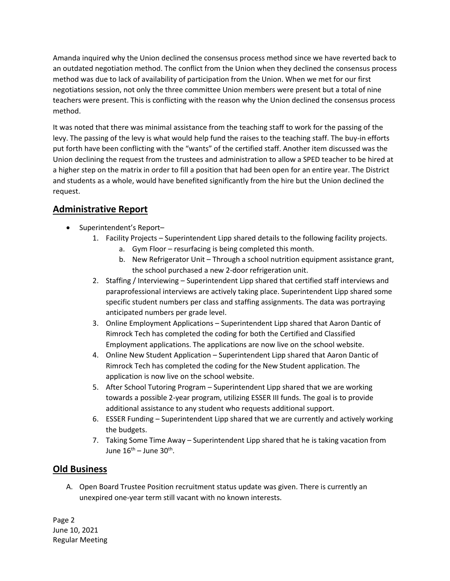Amanda inquired why the Union declined the consensus process method since we have reverted back to an outdated negotiation method. The conflict from the Union when they declined the consensus process method was due to lack of availability of participation from the Union. When we met for our first negotiations session, not only the three committee Union members were present but a total of nine teachers were present. This is conflicting with the reason why the Union declined the consensus process method.

It was noted that there was minimal assistance from the teaching staff to work for the passing of the levy. The passing of the levy is what would help fund the raises to the teaching staff. The buy-in efforts put forth have been conflicting with the "wants" of the certified staff. Another item discussed was the Union declining the request from the trustees and administration to allow a SPED teacher to be hired at a higher step on the matrix in order to fill a position that had been open for an entire year. The District and students as a whole, would have benefited significantly from the hire but the Union declined the request.

# **Administrative Report**

- Superintendent's Report-
	- 1. Facility Projects Superintendent Lipp shared details to the following facility projects.
		- a. Gym Floor resurfacing is being completed this month.
		- b. New Refrigerator Unit Through a school nutrition equipment assistance grant, the school purchased a new 2-door refrigeration unit.
	- 2. Staffing / Interviewing Superintendent Lipp shared that certified staff interviews and paraprofessional interviews are actively taking place. Superintendent Lipp shared some specific student numbers per class and staffing assignments. The data was portraying anticipated numbers per grade level.
	- 3. Online Employment Applications Superintendent Lipp shared that Aaron Dantic of Rimrock Tech has completed the coding for both the Certified and Classified Employment applications. The applications are now live on the school website.
	- 4. Online New Student Application Superintendent Lipp shared that Aaron Dantic of Rimrock Tech has completed the coding for the New Student application. The application is now live on the school website.
	- 5. After School Tutoring Program Superintendent Lipp shared that we are working towards a possible 2-year program, utilizing ESSER III funds. The goal is to provide additional assistance to any student who requests additional support.
	- 6. ESSER Funding Superintendent Lipp shared that we are currently and actively working the budgets.
	- 7. Taking Some Time Away Superintendent Lipp shared that he is taking vacation from June 16<sup>th</sup> – June 30<sup>th</sup>.

# **Old Business**

A. Open Board Trustee Position recruitment status update was given. There is currently an unexpired one-year term still vacant with no known interests.

Page 2 June 10, 2021 Regular Meeting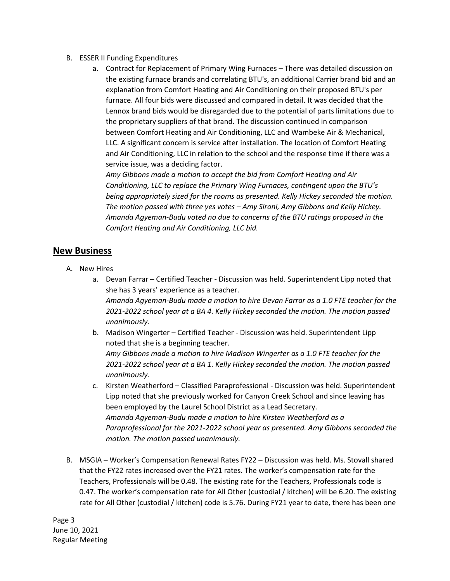- B. ESSER II Funding Expenditures
	- a. Contract for Replacement of Primary Wing Furnaces There was detailed discussion on the existing furnace brands and correlating BTU's, an additional Carrier brand bid and an explanation from Comfort Heating and Air Conditioning on their proposed BTU's per furnace. All four bids were discussed and compared in detail. It was decided that the Lennox brand bids would be disregarded due to the potential of parts limitations due to the proprietary suppliers of that brand. The discussion continued in comparison between Comfort Heating and Air Conditioning, LLC and Wambeke Air & Mechanical, LLC. A significant concern is service after installation. The location of Comfort Heating and Air Conditioning, LLC in relation to the school and the response time if there was a service issue, was a deciding factor.

*Amy Gibbons made a motion to accept the bid from Comfort Heating and Air Conditioning, LLC to replace the Primary Wing Furnaces, contingent upon the BTU's being appropriately sized for the rooms as presented. Kelly Hickey seconded the motion. The motion passed with three yes votes – Amy Sironi, Amy Gibbons and Kelly Hickey. Amanda Agyeman-Budu voted no due to concerns of the BTU ratings proposed in the Comfort Heating and Air Conditioning, LLC bid.* 

#### **New Business**

- A. New Hires
	- a. Devan Farrar Certified Teacher Discussion was held. Superintendent Lipp noted that she has 3 years' experience as a teacher. *Amanda Agyeman-Budu made a motion to hire Devan Farrar as a 1.0 FTE teacher for the 2021-2022 school year at a BA 4. Kelly Hickey seconded the motion. The motion passed unanimously.*
	- b. Madison Wingerter Certified Teacher Discussion was held. Superintendent Lipp noted that she is a beginning teacher. *Amy Gibbons made a motion to hire Madison Wingerter as a 1.0 FTE teacher for the*

*2021-2022 school year at a BA 1. Kelly Hickey seconded the motion. The motion passed unanimously.*

- c. Kirsten Weatherford Classified Paraprofessional Discussion was held. Superintendent Lipp noted that she previously worked for Canyon Creek School and since leaving has been employed by the Laurel School District as a Lead Secretary. *Amanda Agyeman-Budu made a motion to hire Kirsten Weatherford as a Paraprofessional for the 2021-2022 school year as presented. Amy Gibbons seconded the motion. The motion passed unanimously.*
- B. MSGIA Worker's Compensation Renewal Rates FY22 Discussion was held. Ms. Stovall shared that the FY22 rates increased over the FY21 rates. The worker's compensation rate for the Teachers, Professionals will be 0.48. The existing rate for the Teachers, Professionals code is 0.47. The worker's compensation rate for All Other (custodial / kitchen) will be 6.20. The existing rate for All Other (custodial / kitchen) code is 5.76. During FY21 year to date, there has been one

Page 3 June 10, 2021 Regular Meeting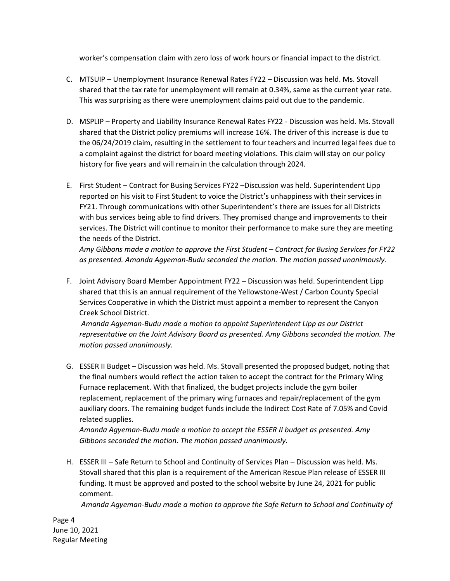worker's compensation claim with zero loss of work hours or financial impact to the district.

- C. MTSUIP Unemployment Insurance Renewal Rates FY22 Discussion was held. Ms. Stovall shared that the tax rate for unemployment will remain at 0.34%, same as the current year rate. This was surprising as there were unemployment claims paid out due to the pandemic.
- D. MSPLIP Property and Liability Insurance Renewal Rates FY22 Discussion was held. Ms. Stovall shared that the District policy premiums will increase 16%. The driver of this increase is due to the 06/24/2019 claim, resulting in the settlement to four teachers and incurred legal fees due to a complaint against the district for board meeting violations. This claim will stay on our policy history for five years and will remain in the calculation through 2024.
- E. First Student Contract for Busing Services FY22 –Discussion was held. Superintendent Lipp reported on his visit to First Student to voice the District's unhappiness with their services in FY21. Through communications with other Superintendent's there are issues for all Districts with bus services being able to find drivers. They promised change and improvements to their services. The District will continue to monitor their performance to make sure they are meeting the needs of the District.

*Amy Gibbons made a motion to approve the First Student – Contract for Busing Services for FY22 as presented. Amanda Agyeman-Budu seconded the motion. The motion passed unanimously.*

F. Joint Advisory Board Member Appointment FY22 – Discussion was held. Superintendent Lipp shared that this is an annual requirement of the Yellowstone-West / Carbon County Special Services Cooperative in which the District must appoint a member to represent the Canyon Creek School District.

*Amanda Agyeman-Budu made a motion to appoint Superintendent Lipp as our District representative on the Joint Advisory Board as presented. Amy Gibbons seconded the motion. The motion passed unanimously.*

G. ESSER II Budget – Discussion was held. Ms. Stovall presented the proposed budget, noting that the final numbers would reflect the action taken to accept the contract for the Primary Wing Furnace replacement. With that finalized, the budget projects include the gym boiler replacement, replacement of the primary wing furnaces and repair/replacement of the gym auxiliary doors. The remaining budget funds include the Indirect Cost Rate of 7.05% and Covid related supplies.

*Amanda Agyeman-Budu made a motion to accept the ESSER II budget as presented. Amy Gibbons seconded the motion. The motion passed unanimously.*

H. ESSER III – Safe Return to School and Continuity of Services Plan – Discussion was held. Ms. Stovall shared that this plan is a requirement of the American Rescue Plan release of ESSER III funding. It must be approved and posted to the school website by June 24, 2021 for public comment.

*Amanda Agyeman-Budu made a motion to approve the Safe Return to School and Continuity of* 

Page 4 June 10, 2021 Regular Meeting